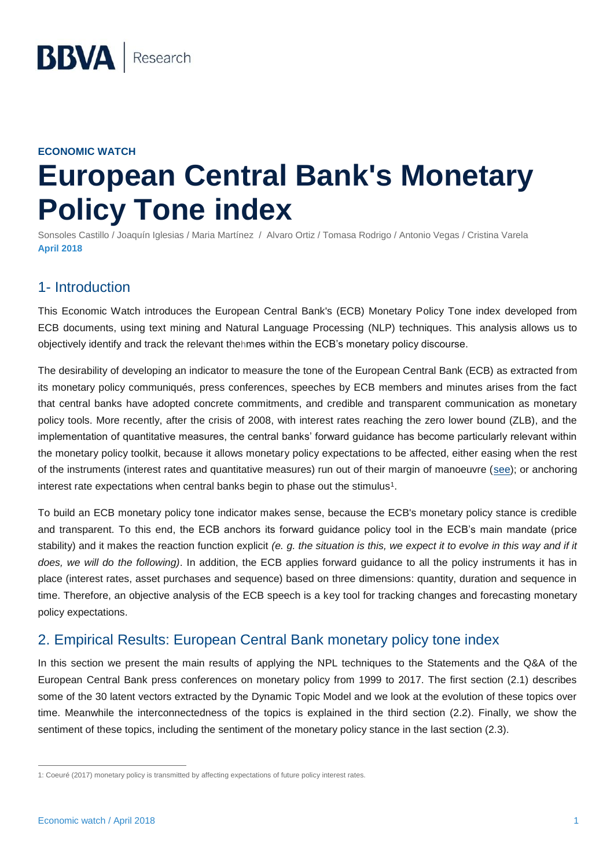#### **ECONOMIC WATCH**

# **European Central Bank's Monetary Policy Tone index**

Sonsoles Castillo / Joaquín Iglesias / Maria Martínez / Alvaro Ortiz / Tomasa Rodrigo / Antonio Vegas / Cristina Varela **April 2018**

### 1- Introduction

This Economic Watch introduces the European Central Bank's (ECB) Monetary Policy Tone index developed from ECB documents, using text mining and Natural Language Processing (NLP) techniques. This analysis allows us to objectively identify and track the relevant thehmes within the ECB's monetary policy discourse.

The desirability of developing an indicator to measure the tone of the European Central Bank (ECB) as extracted from its monetary policy communiqués, press conferences, speeches by ECB members and minutes arises from the fact that central banks have adopted concrete commitments, and credible and transparent communication as monetary policy tools. More recently, after the crisis of 2008, with interest rates reaching the zero lower bound (ZLB), and the implementation of quantitative measures, the central banks' forward guidance has become particularly relevant within the monetary policy toolkit, because it allows monetary policy expectations to be affected, either easing when the rest of the instruments (interest rates and quantitative measures) run out of their margin of manoeuvre [\(see\)](https://www.bbvaresearch.com/KETD/fbin/mult/140506_Europe_Economic_Watch_tcm348-448578.pdf); or anchoring interest rate expectations when central banks begin to phase out the stimulus<sup>1</sup>.

To build an ECB monetary policy tone indicator makes sense, because the ECB's monetary policy stance is credible and transparent. To this end, the ECB anchors its forward guidance policy tool in the ECB's main mandate (price stability) and it makes the reaction function explicit *(e. g. the situation is this, we expect it to evolve in this way and if it does, we will do the following)*. In addition, the ECB applies forward guidance to all the policy instruments it has in place (interest rates, asset purchases and sequence) based on three dimensions: quantity, duration and sequence in time. Therefore, an objective analysis of the ECB speech is a key tool for tracking changes and forecasting monetary policy expectations.

## 2. Empirical Results: European Central Bank monetary policy tone index

In this section we present the main results of applying the NPL techniques to the Statements and the Q&A of the European Central Bank press conferences on monetary policy from 1999 to 2017. The first section (2.1) describes some of the 30 latent vectors extracted by the Dynamic Topic Model and we look at the evolution of these topics over time. Meanwhile the interconnectedness of the topics is explained in the third section (2.2). Finally, we show the sentiment of these topics, including the sentiment of the monetary policy stance in the last section (2.3).

 $\overline{a}$ 

<sup>1:</sup> Coeuré (2017) monetary policy is transmitted by affecting expectations of future policy interest rates.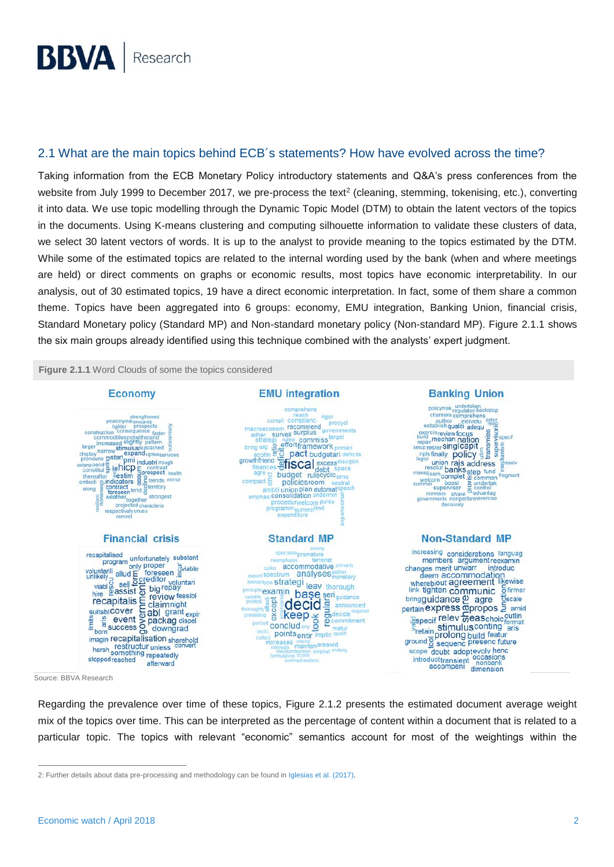#### 2.1 What are the main topics behind ECB´s statements? How have evolved across the time?

Taking information from the ECB Monetary Policy introductory statements and Q&A's press conferences from the website from July 1999 to December 2017, we pre-process the text<sup>2</sup> (cleaning, stemming, tokenising, etc.), converting it into data. We use topic modelling through the Dynamic Topic Model (DTM) to obtain the latent vectors of the topics in the documents. Using K-means clustering and computing silhouette information to validate these clusters of data, we select 30 latent vectors of words. It is up to the analyst to provide meaning to the topics estimated by the DTM. While some of the estimated topics are related to the internal wording used by the bank (when and where meetings are held) or direct comments on graphs or economic results, most topics have economic interpretability. In our analysis, out of 30 estimated topics, 19 have a direct economic interpretation. In fact, some of them share a common theme. Topics have been aggregated into 6 groups: economy, EMU integration, Banking Union, financial crisis, Standard Monetary policy (Standard MP) and Non-standard monetary policy (Non-standard MP). Figure 2.1.1 shows the six main groups already identified using this technique combined with the analysts' expert judgment.

**Figure 2.1.1** Word Clouds of some the topics considered



Source: BBVA Research

 $\overline{a}$ 

Regarding the prevalence over time of these topics, Figure 2.1.2 presents the estimated document average weight mix of the topics over time. This can be interpreted as the percentage of content within a document that is related to a particular topic. The topics with relevant "economic" semantics account for most of the weightings within the

<sup>2:</sup> Further details about data pre-processing and methodology can be found in [Iglesias et al. \(2017\).](https://www.bbvaresearch.com/wp-content/uploads/2017/12/How-do-the-EM-Central-Banks-Talk_Dec17.pdf)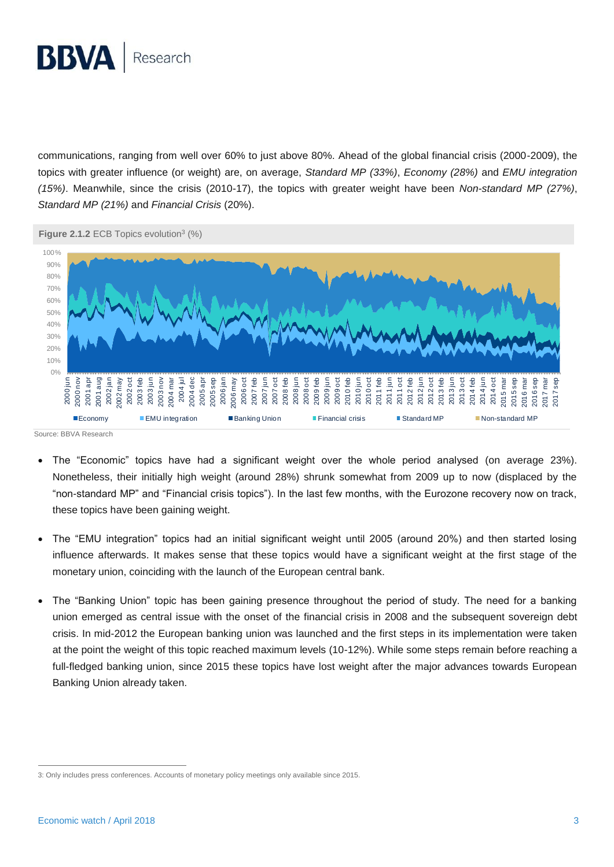

communications, ranging from well over 60% to just above 80%. Ahead of the global financial crisis (2000-2009), the topics with greater influence (or weight) are, on average, *Standard MP (33%)*, *Economy (28%)* and *EMU integration (15%)*. Meanwhile, since the crisis (2010-17), the topics with greater weight have been *Non-standard MP (27%)*, *Standard MP (21%)* and *Financial Crisis* (20%).



Source: BBVA Research

- The "Economic" topics have had a significant weight over the whole period analysed (on average 23%). Nonetheless, their initially high weight (around 28%) shrunk somewhat from 2009 up to now (displaced by the "non-standard MP" and "Financial crisis topics"). In the last few months, with the Eurozone recovery now on track, these topics have been gaining weight.
- The "EMU integration" topics had an initial significant weight until 2005 (around 20%) and then started losing influence afterwards. It makes sense that these topics would have a significant weight at the first stage of the monetary union, coinciding with the launch of the European central bank.
- The "Banking Union" topic has been gaining presence throughout the period of study. The need for a banking union emerged as central issue with the onset of the financial crisis in 2008 and the subsequent sovereign debt crisis. In mid-2012 the European banking union was launched and the first steps in its implementation were taken at the point the weight of this topic reached maximum levels (10-12%). While some steps remain before reaching a full-fledged banking union, since 2015 these topics have lost weight after the major advances towards European Banking Union already taken.

 $\overline{a}$ 

<sup>3:</sup> Only includes press conferences. Accounts of monetary policy meetings only available since 2015.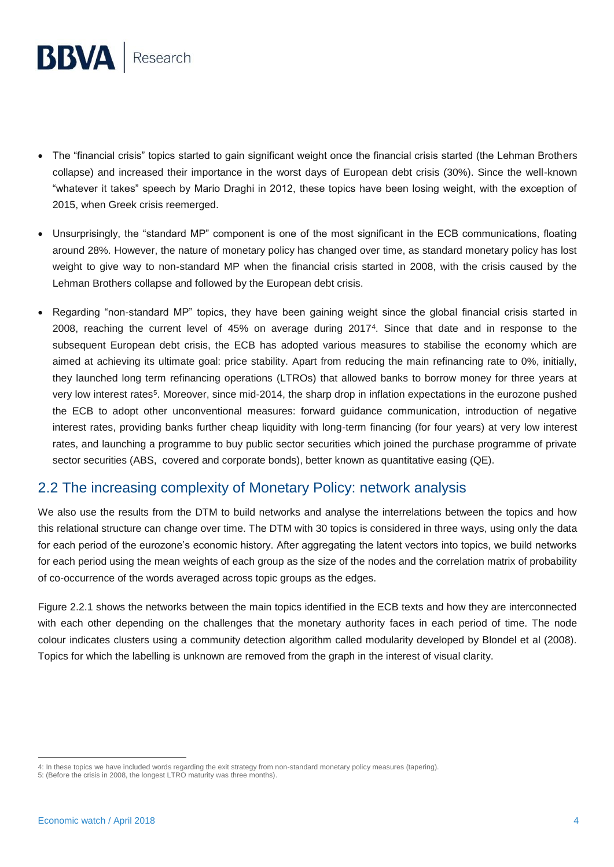

- The "financial crisis" topics started to gain significant weight once the financial crisis started (the Lehman Brothers collapse) and increased their importance in the worst days of European debt crisis (30%). Since the well-known "whatever it takes" speech by Mario Draghi in 2012, these topics have been losing weight, with the exception of 2015, when Greek crisis reemerged.
- Unsurprisingly, the "standard MP" component is one of the most significant in the ECB communications, floating around 28%. However, the nature of monetary policy has changed over time, as standard monetary policy has lost weight to give way to non-standard MP when the financial crisis started in 2008, with the crisis caused by the Lehman Brothers collapse and followed by the European debt crisis.
- Regarding "non-standard MP" topics, they have been gaining weight since the global financial crisis started in 2008, reaching the current level of 45% on average during 2017<sup>4</sup> . Since that date and in response to the subsequent European debt crisis, the ECB has adopted various measures to stabilise the economy which are aimed at achieving its ultimate goal: price stability. Apart from reducing the main refinancing rate to 0%, initially, they launched long term refinancing operations (LTROs) that allowed banks to borrow money for three years at very low interest rates<sup>5</sup>. Moreover, since mid-2014, the sharp drop in inflation expectations in the eurozone pushed the ECB to adopt other unconventional measures: forward guidance communication, introduction of negative interest rates, providing banks further cheap liquidity with long-term financing (for four years) at very low interest rates, and launching a programme to buy public sector securities which joined the purchase programme of private sector securities (ABS, covered and corporate bonds), better known as quantitative easing (QE).

## 2.2 The increasing complexity of Monetary Policy: network analysis

We also use the results from the DTM to build networks and analyse the interrelations between the topics and how this relational structure can change over time. The DTM with 30 topics is considered in three ways, using only the data for each period of the eurozone's economic history. After aggregating the latent vectors into topics, we build networks for each period using the mean weights of each group as the size of the nodes and the correlation matrix of probability of co-occurrence of the words averaged across topic groups as the edges.

Figure 2.2.1 shows the networks between the main topics identified in the ECB texts and how they are interconnected with each other depending on the challenges that the monetary authority faces in each period of time. The node colour indicates clusters using a community detection algorithm called modularity developed by Blondel et al (2008). Topics for which the labelling is unknown are removed from the graph in the interest of visual clarity.

 $\overline{a}$ 4: In these topics we have included words regarding the exit strategy from non-standard monetary policy measures (tapering).

<sup>5:</sup> (Before the crisis in 2008, the longest LTRO maturity was three months).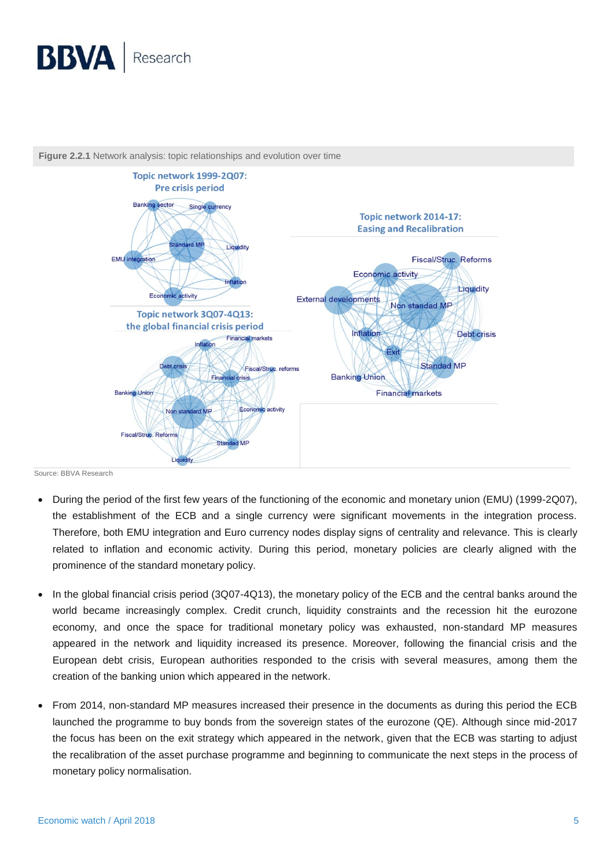



**Figure 2.2.1** Network analysis: topic relationships and evolution over time

Source: BBVA Research

- During the period of the first few years of the functioning of the economic and monetary union (EMU) (1999-2Q07), the establishment of the ECB and a single currency were significant movements in the integration process. Therefore, both EMU integration and Euro currency nodes display signs of centrality and relevance. This is clearly related to inflation and economic activity. During this period, monetary policies are clearly aligned with the prominence of the standard monetary policy.
- In the global financial crisis period (3Q07-4Q13), the monetary policy of the ECB and the central banks around the world became increasingly complex. Credit crunch, liquidity constraints and the recession hit the eurozone economy, and once the space for traditional monetary policy was exhausted, non-standard MP measures appeared in the network and liquidity increased its presence. Moreover, following the financial crisis and the European debt crisis, European authorities responded to the crisis with several measures, among them the creation of the banking union which appeared in the network.
- From 2014, non-standard MP measures increased their presence in the documents as during this period the ECB launched the programme to buy bonds from the sovereign states of the eurozone (QE). Although since mid-2017 the focus has been on the exit strategy which appeared in the network, given that the ECB was starting to adjust the recalibration of the asset purchase programme and beginning to communicate the next steps in the process of monetary policy normalisation.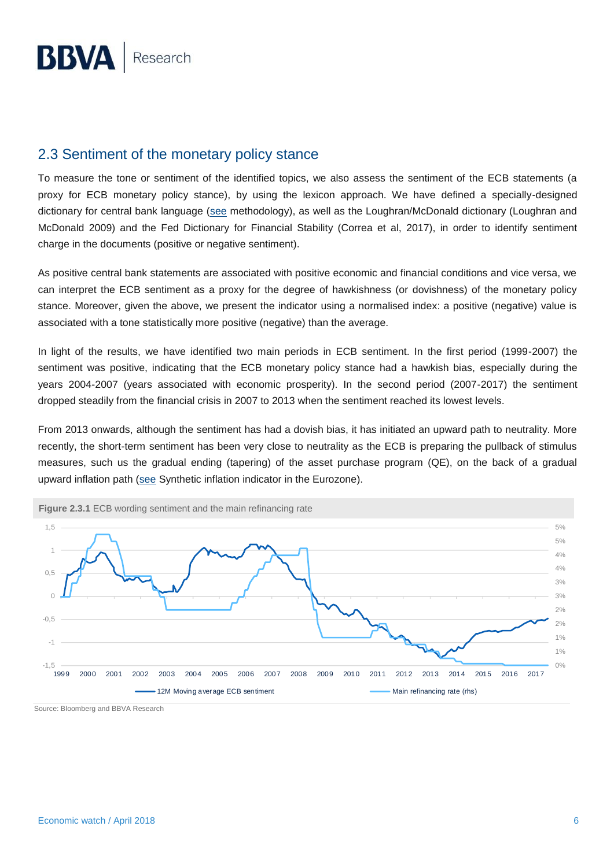## 2.3 Sentiment of the monetary policy stance

To measure the tone or sentiment of the identified topics, we also assess the sentiment of the ECB statements (a proxy for ECB monetary policy stance), by using the lexicon approach. We have defined a specially-designed dictionary for central bank language [\(see](https://www.bbvaresearch.com/wp-content/uploads/2017/12/How-do-the-EM-Central-Banks-Talk_Dec17.pdf) methodology), as well as the Loughran/McDonald dictionary (Loughran and McDonald 2009) and the Fed Dictionary for Financial Stability (Correa et al, 2017), in order to identify sentiment charge in the documents (positive or negative sentiment).

As positive central bank statements are associated with positive economic and financial conditions and vice versa, we can interpret the ECB sentiment as a proxy for the degree of hawkishness (or dovishness) of the monetary policy stance. Moreover, given the above, we present the indicator using a normalised index: a positive (negative) value is associated with a tone statistically more positive (negative) than the average.

In light of the results, we have identified two main periods in ECB sentiment. In the first period (1999-2007) the sentiment was positive, indicating that the ECB monetary policy stance had a hawkish bias, especially during the years 2004-2007 (years associated with economic prosperity). In the second period (2007-2017) the sentiment dropped steadily from the financial crisis in 2007 to 2013 when the sentiment reached its lowest levels.

From 2013 onwards, although the sentiment has had a dovish bias, it has initiated an upward path to neutrality. More recently, the short-term sentiment has been very close to neutrality as the ECB is preparing the pullback of stimulus measures, such us the gradual ending (tapering) of the asset purchase program (QE), on the back of a gradual upward inflation path [\(see](https://www.bbvaresearch.com/en/publicaciones/synthetic-inflation-indicator-in-the-eurozone-closing-the-gap-in-a-sustained-manner/) Synthetic inflation indicator in the Eurozone).



Source: Bloomberg and BBVA Research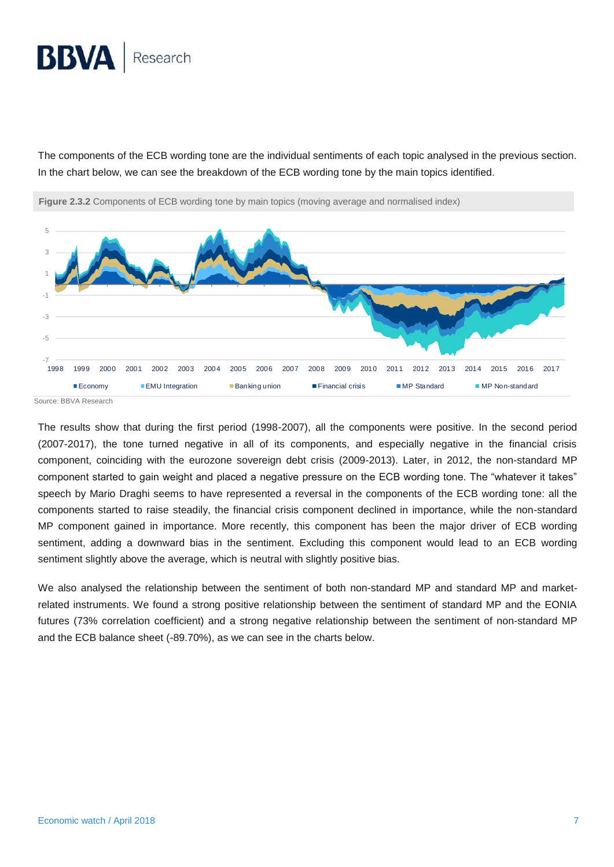# **BBVA** Research

The components of the ECB wording tone are the individual sentiments of each topic analysed in the previous section. In the chart below, we can see the breakdown of the ECB wording tone by the main topics identified.



**Figure 2.3.2** Components of ECB wording tone by main topics (moving average and normalised index)

Source: BBVA Research

The results show that during the first period (1998-2007), all the components were positive. In the second period (2007-2017), the tone turned negative in all of its components, and especially negative in the financial crisis component, coinciding with the eurozone sovereign debt crisis (2009-2013). Later, in 2012, the non-standard MP component started to gain weight and placed a negative pressure on the ECB wording tone. The "whatever it takes" speech by Mario Draghi seems to have represented a reversal in the components of the ECB wording tone: all the components started to raise steadily, the financial crisis component declined in importance, while the non-standard MP component gained in importance. More recently, this component has been the major driver of ECB wording sentiment, adding a downward bias in the sentiment. Excluding this component would lead to an ECB wording sentiment slightly above the average, which is neutral with slightly positive bias.

We also analysed the relationship between the sentiment of both non-standard MP and standard MP and marketrelated instruments. We found a strong positive relationship between the sentiment of standard MP and the EONIA futures (73% correlation coefficient) and a strong negative relationship between the sentiment of non-standard MP and the ECB balance sheet (-89.70%), as we can see in the charts below.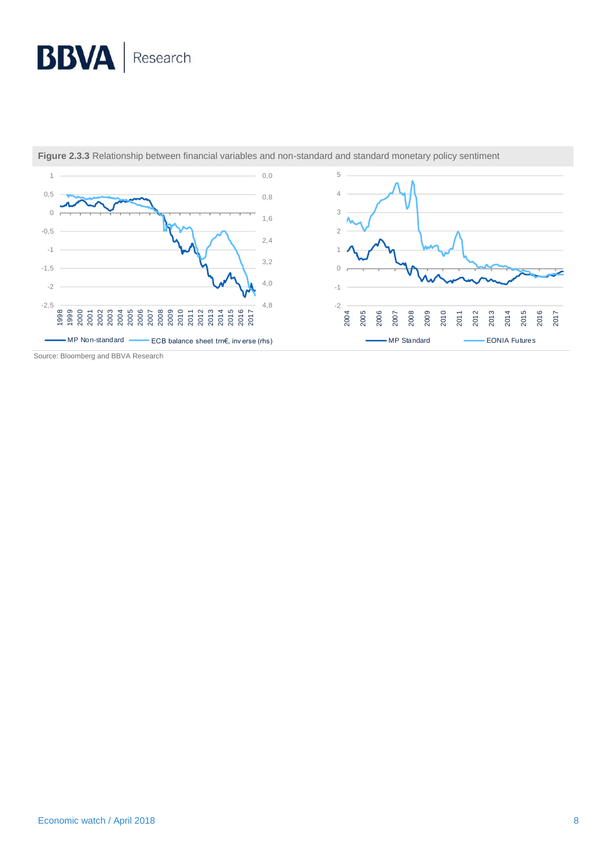# **BBVA** Research



**Figure 2.3.3** Relationship between financial variables and non-standard and standard monetary policy sentiment

Source: Bloomberg and BBVA Research